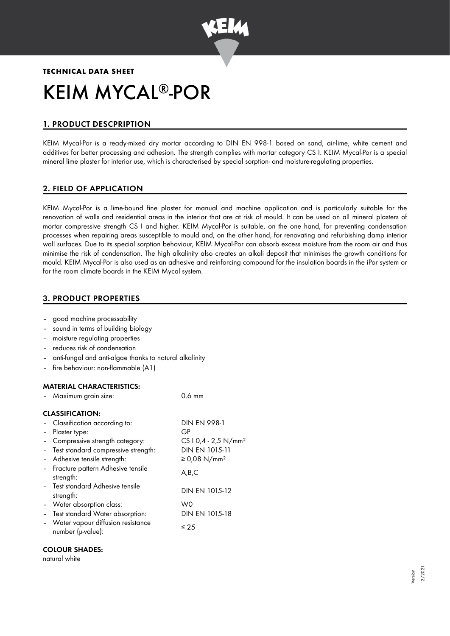

# **TECHNICAL DATA SHEET** KEIM MYCAL®-POR

# 1. PRODUCT DESCPRIPTION

KEIM Mycal-Por is a ready-mixed dry mortar according to DIN EN 998-1 based on sand, air-lime, white cement and additives for better processing and adhesion. The strength complies with mortar category CS I. KEIM Mycal-Por is a special mineral lime plaster for interior use, which is characterised by special sorption- and moisture-regulating properties.

# 2. FIELD OF APPLICATION

KEIM Mycal-Por is a lime-bound fine plaster for manual and machine application and is particularly suitable for the renovation of walls and residential areas in the interior that are at risk of mould. It can be used on all mineral plasters of mortar compressive strength CS I and higher. KEIM Mycal-Por is suitable, on the one hand, for preventing condensation processes when repairing areas susceptible to mould and, on the other hand, for renovating and refurbishing damp interior wall surfaces. Due to its special sorption behaviour, KEIM Mycal-Por can absorb excess moisture from the room air and thus minimise the risk of condensation. The high alkalinity also creates an alkali deposit that minimises the growth conditions for mould. KEIM Mycal-Por is also used as an adhesive and reinforcing compound for the insulation boards in the iPor system or for the room climate boards in the KEIM Mycal system.

## 3. PRODUCT PROPERTIES

- good machine processability
- sound in terms of building biology
- moisture regulating properties
- reduces risk of condensation
- anti-fungal and anti-algae thanks to natural alkalinity
- fire behaviour: non-flammable (A1)

## MATERIAL CHARACTERISTICS:

|          | Maximum grain size:                                      | $0.6 \text{ mm}$                  |
|----------|----------------------------------------------------------|-----------------------------------|
|          | <b>CLASSIFICATION:</b>                                   |                                   |
|          | - Classification according to:                           | <b>DIN EN 998-1</b>               |
|          | - Plaster type:                                          | GP                                |
|          | - Compressive strength category:                         | CS $10,4 - 2,5$ N/mm <sup>2</sup> |
|          | - Test standard compressive strength:                    | DIN EN 1015-11                    |
|          | - Adhesive tensile strength:                             | ≥ 0,08 N/mm <sup>2</sup>          |
|          | - Fracture pattern Adhesive tensile<br>strength:         | A,B,C                             |
|          | - Test standard Adhesive tensile<br>strength:            | DIN EN 1015-12                    |
|          | - Water absorption class:                                | W0                                |
| $\equiv$ | Test standard Water absorption:                          | DIN EN 1015-18                    |
|          | - Water vapour diffusion resistance<br>number (µ-value): | ≤ 25                              |
|          |                                                          |                                   |

## COLOUR SHADES:

#### natural white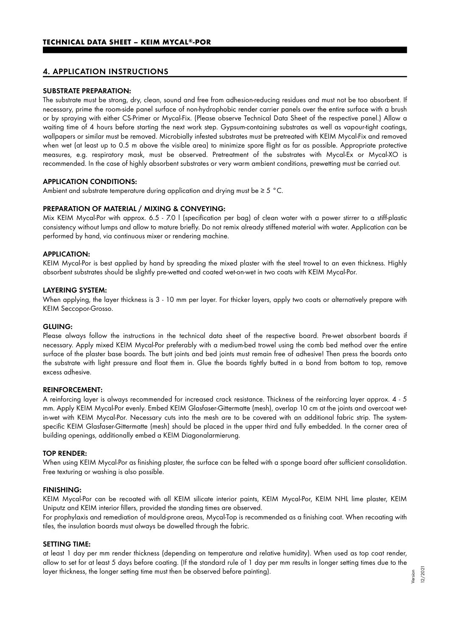## 4. APPLICATION INSTRUCTIONS

#### SUBSTRATE PREPARATION:

The substrate must be strong, dry, clean, sound and free from adhesion-reducing residues and must not be too absorbent. If necessary, prime the room-side panel surface of non-hydrophobic render carrier panels over the entire surface with a brush or by spraying with either CS-Primer or Mycal-Fix. (Please observe Technical Data Sheet of the respective panel.) Allow a waiting time of 4 hours before starting the next work step. Gypsum-containing substrates as well as vapour-tight coatings, wallpapers or similar must be removed. Microbially infested substrates must be pretreated with KEIM Mycal-Fix and removed when wet (at least up to 0.5 m above the visible area) to minimize spore flight as far as possible. Appropriate protective measures, e.g. respiratory mask, must be observed. Pretreatment of the substrates with Mycal-Ex or Mycal-XO is recommended. In the case of highly absorbent substrates or very warm ambient conditions, prewetting must be carried out.

#### APPLICATION CONDITIONS:

Ambient and substrate temperature during application and drying must be ≥ 5 °C.

#### PREPARATION OF MATERIAL / MIXING & CONVEYING:

Mix KEIM Mycal-Por with approx. 6.5 - 7.0 l (specification per bag) of clean water with a power stirrer to a stiff-plastic consistency without lumps and allow to mature briefly. Do not remix already stiffened material with water. Application can be performed by hand, via continuous mixer or rendering machine.

#### APPLICATION:

KEIM Mycal-Por is best applied by hand by spreading the mixed plaster with the steel trowel to an even thickness. Highly absorbent substrates should be slightly pre-wetted and coated wet-on-wet in two coats with KEIM Mycal-Por.

#### LAYERING SYSTEM:

When applying, the layer thickness is 3 - 10 mm per layer. For thicker layers, apply two coats or alternatively prepare with KEIM Seccopor-Grosso.

#### GLUING:

Please always follow the instructions in the technical data sheet of the respective board. Pre-wet absorbent boards if necessary. Apply mixed KEIM Mycal-Por preferably with a medium-bed trowel using the comb bed method over the entire surface of the plaster base boards. The butt joints and bed joints must remain free of adhesive! Then press the boards onto the substrate with light pressure and float them in. Glue the boards tightly butted in a bond from bottom to top, remove excess adhesive.

#### REINFORCEMENT:

A reinforcing layer is always recommended for increased crack resistance. Thickness of the reinforcing layer approx. 4 - 5 mm. Apply KEIM Mycal-Por evenly. Embed KEIM Glasfaser-Gittermatte (mesh), overlap 10 cm at the joints and overcoat wetin-wet with KEIM Mycal-Por. Necessary cuts into the mesh are to be covered with an additional fabric strip. The systemspecific KEIM Glasfaser-Gittermatte (mesh) should be placed in the upper third and fully embedded. In the corner area of building openings, additionally embed a KEIM Diagonalarmierung.

#### TOP RENDER:

When using KEIM Mycal-Por as finishing plaster, the surface can be felted with a sponge board after sufficient consolidation. Free texturing or washing is also possible.

#### FINISHING:

KEIM Mycal-Por can be recoated with all KEIM silicate interior paints, KEIM Mycal-Por, KEIM NHL lime plaster, KEIM Uniputz and KEIM interior fillers, provided the standing times are observed.

For prophylaxis and remediation of mould-prone areas, Mycal-Top is recommended as a finishing coat. When recoating with tiles, the insulation boards must always be dowelled through the fabric.

#### SETTING TIME:

at least 1 day per mm render thickness (depending on temperature and relative humidity). When used as top coat render, allow to set for at least 5 days before coating. (If the standard rule of 1 day per mm results in longer setting times due to the layer thickness, the longer setting time must then be observed before painting).